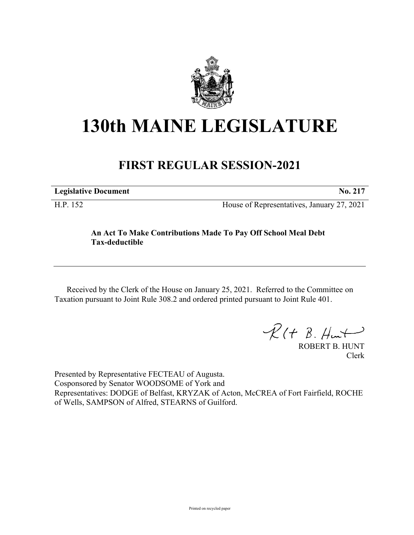

## **130th MAINE LEGISLATURE**

## **FIRST REGULAR SESSION-2021**

**Legislative Document No. 217**

H.P. 152 House of Representatives, January 27, 2021

## **An Act To Make Contributions Made To Pay Off School Meal Debt Tax-deductible**

Received by the Clerk of the House on January 25, 2021. Referred to the Committee on Taxation pursuant to Joint Rule 308.2 and ordered printed pursuant to Joint Rule 401.

 $\mathcal{R}(t \; \mathcal{B}, \#m)$ 

ROBERT B. HUNT Clerk

Presented by Representative FECTEAU of Augusta. Cosponsored by Senator WOODSOME of York and Representatives: DODGE of Belfast, KRYZAK of Acton, McCREA of Fort Fairfield, ROCHE of Wells, SAMPSON of Alfred, STEARNS of Guilford.